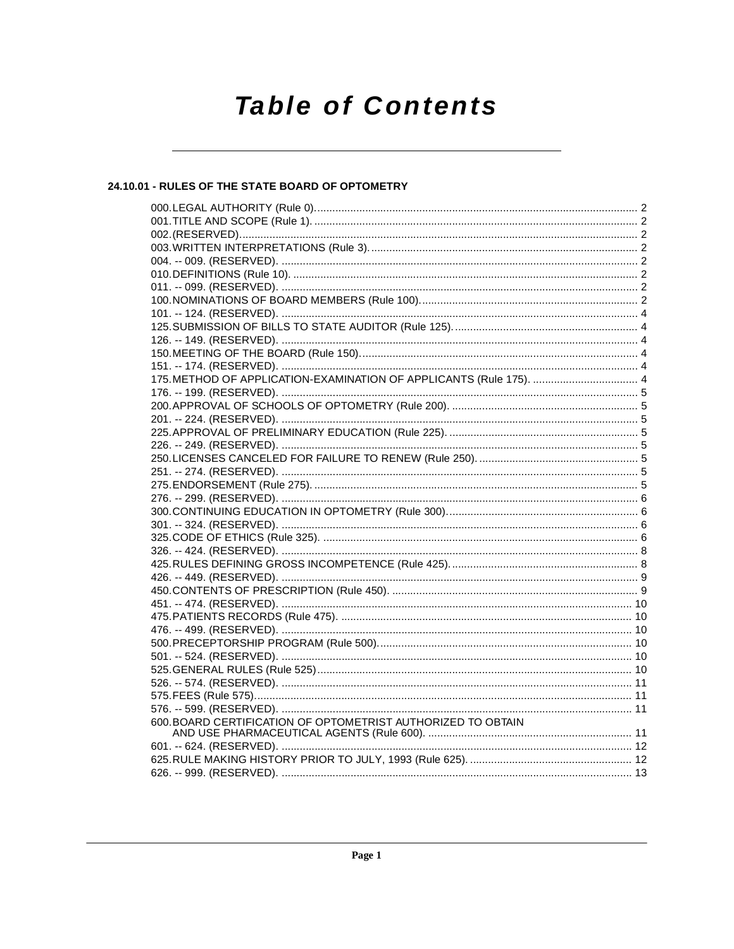# **Table of Contents**

# 24.10.01 - RULES OF THE STATE BOARD OF OPTOMETRY

| 175. METHOD OF APPLICATION-EXAMINATION OF APPLICANTS (Rule 175).  4 |  |
|---------------------------------------------------------------------|--|
|                                                                     |  |
|                                                                     |  |
|                                                                     |  |
|                                                                     |  |
|                                                                     |  |
|                                                                     |  |
|                                                                     |  |
|                                                                     |  |
|                                                                     |  |
|                                                                     |  |
|                                                                     |  |
|                                                                     |  |
|                                                                     |  |
|                                                                     |  |
|                                                                     |  |
|                                                                     |  |
|                                                                     |  |
|                                                                     |  |
|                                                                     |  |
|                                                                     |  |
|                                                                     |  |
|                                                                     |  |
|                                                                     |  |
|                                                                     |  |
|                                                                     |  |
| 600. BOARD CERTIFICATION OF OPTOMETRIST AUTHORIZED TO OBTAIN        |  |
|                                                                     |  |
|                                                                     |  |
|                                                                     |  |
|                                                                     |  |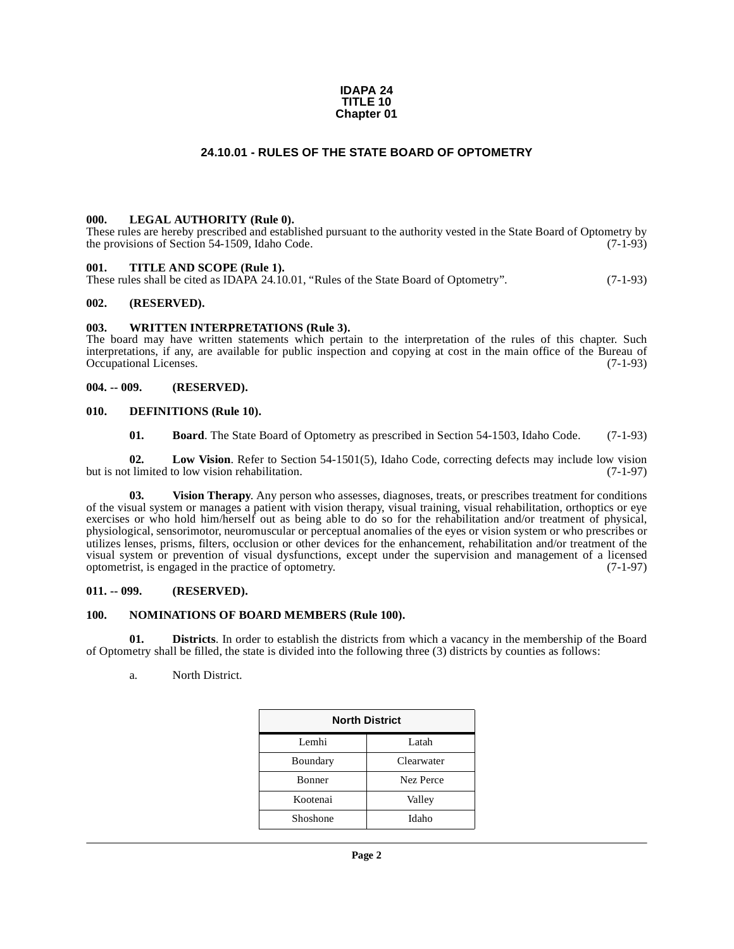#### **IDAPA 24 TITLE 10 Chapter 01**

## **24.10.01 - RULES OF THE STATE BOARD OF OPTOMETRY**

#### <span id="page-1-1"></span><span id="page-1-0"></span>**000. LEGAL AUTHORITY (Rule 0).**

These rules are hereby prescribed and established pursuant to the authority vested in the State Board of Optometry by the provisions of Section 54-1509, Idaho Code.  $(7-1-93)$ 

#### <span id="page-1-2"></span>**001. TITLE AND SCOPE (Rule 1).**

These rules shall be cited as IDAPA 24.10.01, "Rules of the State Board of Optometry". (7-1-93)

#### <span id="page-1-3"></span>**002. (RESERVED).**

#### <span id="page-1-4"></span>**003. WRITTEN INTERPRETATIONS (Rule 3).**

The board may have written statements which pertain to the interpretation of the rules of this chapter. Such interpretations, if any, are available for public inspection and copying at cost in the main office of the Bureau of Occupational Licenses. (7-1-93) Occupational Licenses.

#### <span id="page-1-5"></span>**004. -- 009. (RESERVED).**

#### <span id="page-1-6"></span>**010. DEFINITIONS (Rule 10).**

<span id="page-1-14"></span><span id="page-1-12"></span><span id="page-1-10"></span><span id="page-1-9"></span>**01. Board**. The State Board of Optometry as prescribed in Section 54-1503, Idaho Code. (7-1-93)

**02. Low Vision**. Refer to Section 54-1501(5), Idaho Code, correcting defects may include low vision but is not limited to low vision rehabilitation. (7-1-97)

**03. Vision Therapy**. Any person who assesses, diagnoses, treats, or prescribes treatment for conditions of the visual system or manages a patient with vision therapy, visual training, visual rehabilitation, orthoptics or eye exercises or who hold him/herself out as being able to do so for the rehabilitation and/or treatment of physical, physiological, sensorimotor, neuromuscular or perceptual anomalies of the eyes or vision system or who prescribes or utilizes lenses, prisms, filters, occlusion or other devices for the enhancement, rehabilitation and/or treatment of the visual system or prevention of visual dysfunctions, except under the supervision and management of a licensed optometrist, is engaged in the practice of optometry. (7-1-97)

#### <span id="page-1-7"></span>**011. -- 099. (RESERVED).**

#### <span id="page-1-13"></span><span id="page-1-8"></span>**100. NOMINATIONS OF BOARD MEMBERS (Rule 100).**

**01. Districts**. In order to establish the districts from which a vacancy in the membership of the Board of Optometry shall be filled, the state is divided into the following three (3) districts by counties as follows:

<span id="page-1-11"></span>a. North District.

| <b>North District</b> |            |
|-----------------------|------------|
| Lemhi                 | Latah      |
| Boundary              | Clearwater |
| Bonner                | Nez Perce  |
| Kootenai              | Valley     |
| Shoshone              | Idaho      |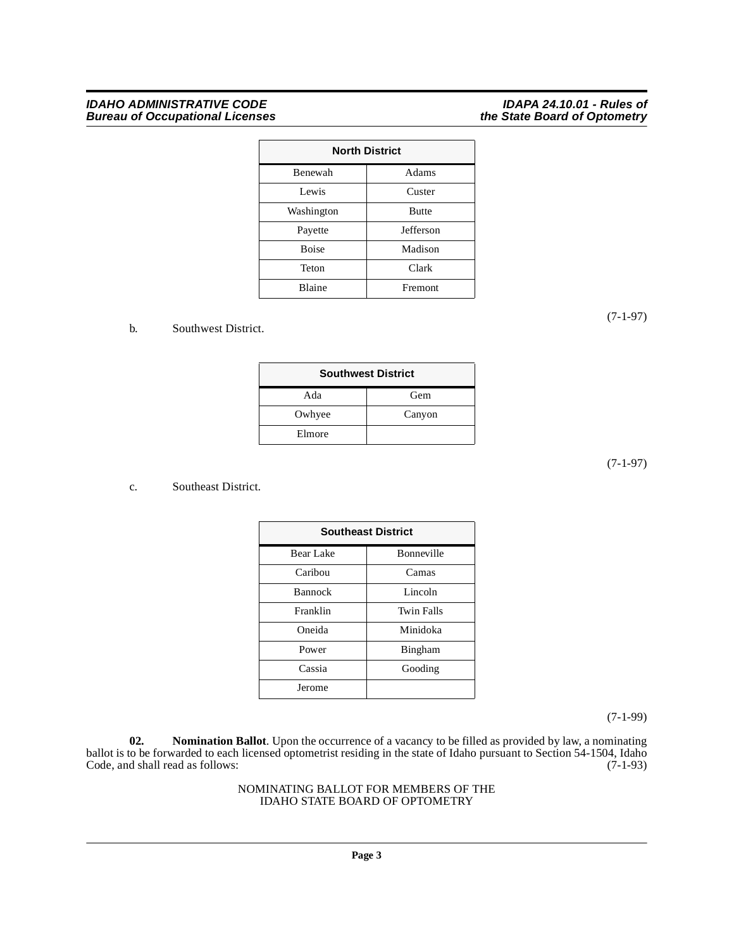#### **IDAHO ADMINISTRATIVE CODE IDAPA 24.10.01 - Rules of Bureau of Occupational Licenses the State Board of Optometry**

| <b>North District</b> |              |
|-----------------------|--------------|
| Benewah               | Adams        |
| Lewis                 | Custer       |
| Washington            | <b>Butte</b> |
| Payette               | Jefferson    |
| <b>Boise</b>          | Madison      |
| Teton                 | Clark        |
| Blaine                | Fremont      |

#### b. Southwest District.

| <b>Southwest District</b> |        |
|---------------------------|--------|
| Ada                       | Gem    |
| Owhyee                    | Canyon |
| Elmore                    |        |

(7-1-97)

#### c. Southeast District.

| <b>Southeast District</b> |                   |  |
|---------------------------|-------------------|--|
| Bonneville<br>Bear Lake   |                   |  |
| Caribou                   | Camas             |  |
| <b>Bannock</b>            | Lincoln           |  |
| Franklin                  | <b>Twin Falls</b> |  |
| Oneida                    | Minidoka          |  |
| Power                     | <b>Bingham</b>    |  |
| Cassia                    | Gooding           |  |
| Jerome                    |                   |  |

(7-1-99)

<span id="page-2-0"></span>**02. Nomination Ballot**. Upon the occurrence of a vacancy to be filled as provided by law, a nominating ballot is to be forwarded to each licensed optometrist residing in the state of Idaho pursuant to Section 54-1504, Idaho Code, and shall read as follows: (7-1-93)

#### NOMINATING BALLOT FOR MEMBERS OF THE IDAHO STATE BOARD OF OPTOMETRY

(7-1-97)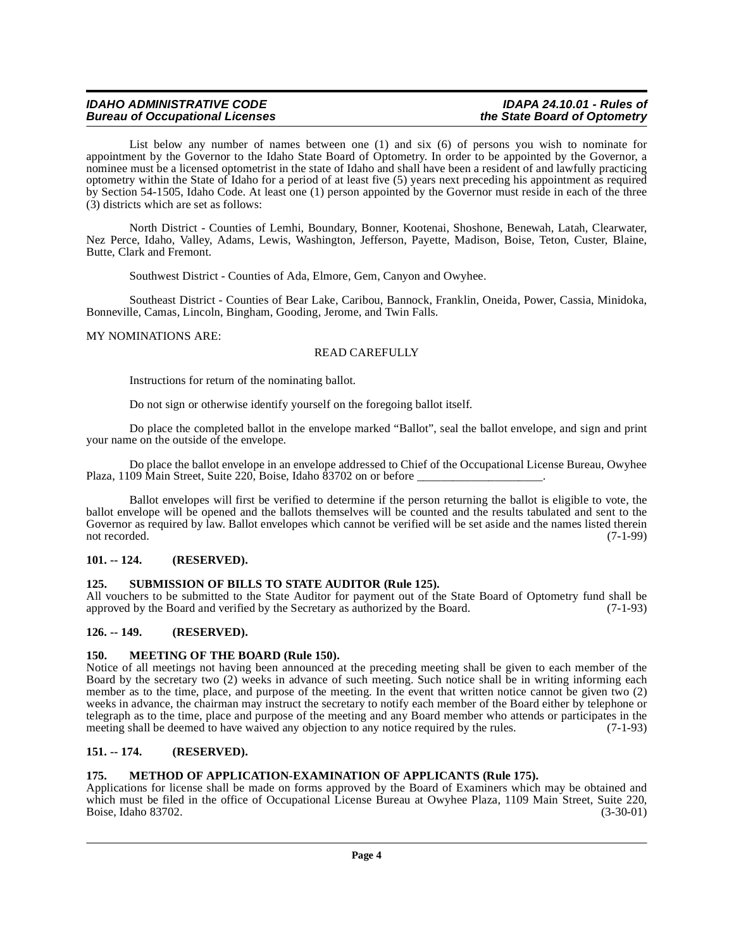List below any number of names between one (1) and six (6) of persons you wish to nominate for appointment by the Governor to the Idaho State Board of Optometry. In order to be appointed by the Governor, a nominee must be a licensed optometrist in the state of Idaho and shall have been a resident of and lawfully practicing optometry within the State of Idaho for a period of at least five (5) years next preceding his appointment as required by Section 54-1505, Idaho Code. At least one (1) person appointed by the Governor must reside in each of the three (3) districts which are set as follows:

North District - Counties of Lemhi, Boundary, Bonner, Kootenai, Shoshone, Benewah, Latah, Clearwater, Nez Perce, Idaho, Valley, Adams, Lewis, Washington, Jefferson, Payette, Madison, Boise, Teton, Custer, Blaine, Butte, Clark and Fremont.

Southwest District - Counties of Ada, Elmore, Gem, Canyon and Owyhee.

Southeast District - Counties of Bear Lake, Caribou, Bannock, Franklin, Oneida, Power, Cassia, Minidoka, Bonneville, Camas, Lincoln, Bingham, Gooding, Jerome, and Twin Falls.

#### MY NOMINATIONS ARE:

#### READ CAREFULLY

Instructions for return of the nominating ballot.

Do not sign or otherwise identify yourself on the foregoing ballot itself.

Do place the completed ballot in the envelope marked "Ballot", seal the ballot envelope, and sign and print your name on the outside of the envelope.

Do place the ballot envelope in an envelope addressed to Chief of the Occupational License Bureau, Owyhee Plaza, 1109 Main Street, Suite 220, Boise, Idaho  $\overline{8}3702$  on or before

Ballot envelopes will first be verified to determine if the person returning the ballot is eligible to vote, the ballot envelope will be opened and the ballots themselves will be counted and the results tabulated and sent to the Governor as required by law. Ballot envelopes which cannot be verified will be set aside and the names listed therein not recorded. (7-1-99) not recorded. (7-1-99)

## <span id="page-3-0"></span>**101. -- 124. (RESERVED).**

#### <span id="page-3-8"></span><span id="page-3-1"></span>**125. SUBMISSION OF BILLS TO STATE AUDITOR (Rule 125).**

All vouchers to be submitted to the State Auditor for payment out of the State Board of Optometry fund shall be approved by the Board and verified by the Secretary as authorized by the Board. (7-1-93) approved by the Board and verified by the Secretary as authorized by the Board.

#### <span id="page-3-2"></span>**126. -- 149. (RESERVED).**

#### <span id="page-3-6"></span><span id="page-3-3"></span>**150. MEETING OF THE BOARD (Rule 150).**

Notice of all meetings not having been announced at the preceding meeting shall be given to each member of the Board by the secretary two (2) weeks in advance of such meeting. Such notice shall be in writing informing each member as to the time, place, and purpose of the meeting. In the event that written notice cannot be given two (2) weeks in advance, the chairman may instruct the secretary to notify each member of the Board either by telephone or telegraph as to the time, place and purpose of the meeting and any Board member who attends or participates in the meeting shall be deemed to have waived any objection to any notice required by the rules. (7-1-93)

## <span id="page-3-4"></span>**151. -- 174. (RESERVED).**

#### <span id="page-3-7"></span><span id="page-3-5"></span>**175. METHOD OF APPLICATION-EXAMINATION OF APPLICANTS (Rule 175).**

Applications for license shall be made on forms approved by the Board of Examiners which may be obtained and which must be filed in the office of Occupational License Bureau at Owyhee Plaza, 1109 Main Street, Suite 220, Boise, Idaho 83702. (3-30-01)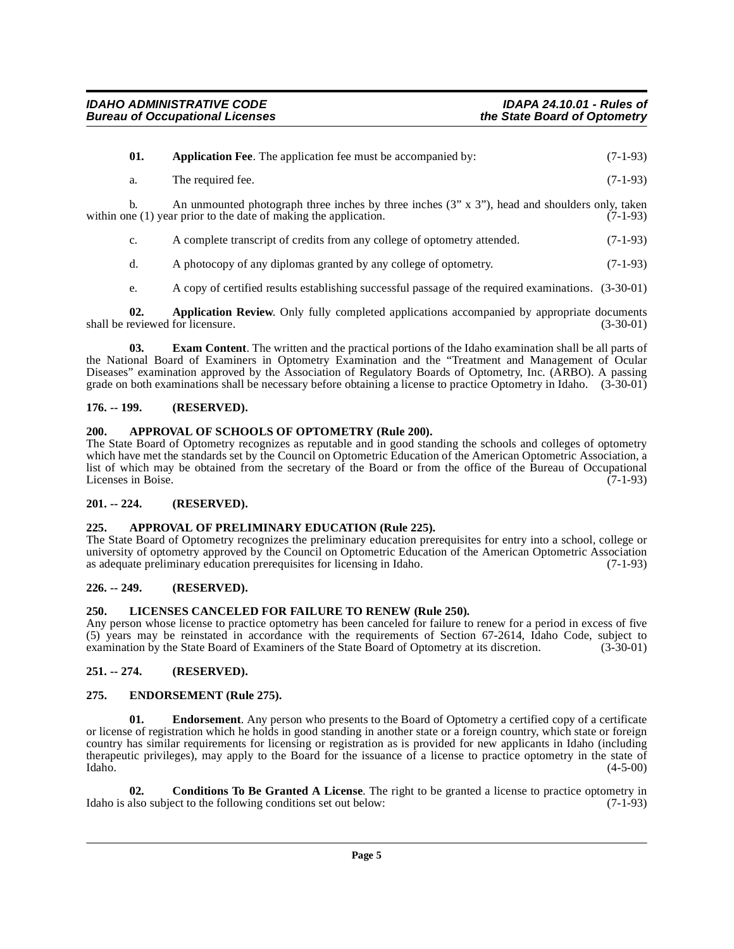<span id="page-4-8"></span>

| 01. | <b>Application Fee.</b> The application fee must be accompanied by:                                                                                                          | $(7-1-93)$ |
|-----|------------------------------------------------------------------------------------------------------------------------------------------------------------------------------|------------|
| а.  | The required fee.                                                                                                                                                            | $(7-1-93)$ |
|     | An unmounted photograph three inches by three inches $(3'' \times 3'')$ , head and shoulders only, taken<br>within one (1) year prior to the date of making the application. | $(7-1-93)$ |

c. A complete transcript of credits from any college of optometry attended. (7-1-93)

d. A photocopy of any diplomas granted by any college of optometry. (7-1-93)

<span id="page-4-14"></span><span id="page-4-9"></span>e. A copy of certified results establishing successful passage of the required examinations. (3-30-01)

**02. Application Review**. Only fully completed applications accompanied by appropriate documents eviewed for licensure. (3-30-01) shall be reviewed for licensure.

**03. Exam Content**. The written and the practical portions of the Idaho examination shall be all parts of the National Board of Examiners in Optometry Examination and the "Treatment and Management of Ocular Diseases" examination approved by the Association of Regulatory Boards of Optometry, Inc. (ARBO). A passing grade on both examinations shall be necessary before obtaining a license to practice Optometry in Idaho. (3-30-01)

# <span id="page-4-0"></span>**176. -- 199. (RESERVED).**

## <span id="page-4-11"></span><span id="page-4-1"></span>**200. APPROVAL OF SCHOOLS OF OPTOMETRY (Rule 200).**

The State Board of Optometry recognizes as reputable and in good standing the schools and colleges of optometry which have met the standards set by the Council on Optometric Education of the American Optometric Association, a list of which may be obtained from the secretary of the Board or from the office of the Bureau of Occupational Licenses in Boise. (7-1-93)

# <span id="page-4-2"></span>**201. -- 224. (RESERVED).**

## <span id="page-4-10"></span><span id="page-4-3"></span>**225. APPROVAL OF PRELIMINARY EDUCATION (Rule 225).**

The State Board of Optometry recognizes the preliminary education prerequisites for entry into a school, college or university of optometry approved by the Council on Optometric Education of the American Optometric Association<br>as adequate preliminary education prerequisites for licensing in Idaho. (7-1-93) as adequate preliminary education prerequisites for licensing in Idaho.

## <span id="page-4-4"></span>**226. -- 249. (RESERVED).**

## <span id="page-4-15"></span><span id="page-4-5"></span>**250. LICENSES CANCELED FOR FAILURE TO RENEW (Rule 250).**

Any person whose license to practice optometry has been canceled for failure to renew for a period in excess of five (5) years may be reinstated in accordance with the requirements of Section 67-2614, Idaho Code, subject to examination by the State Board of Examiners of the State Board of Optometry at its discretion. (3-30-01)

## <span id="page-4-6"></span>**251. -- 274. (RESERVED).**

## <span id="page-4-13"></span><span id="page-4-7"></span>**275. ENDORSEMENT (Rule 275).**

**01. Endorsement**. Any person who presents to the Board of Optometry a certified copy of a certificate or license of registration which he holds in good standing in another state or a foreign country, which state or foreign country has similar requirements for licensing or registration as is provided for new applicants in Idaho (including therapeutic privileges), may apply to the Board for the issuance of a license to practice optometry in the state of  $\lambda$ Idaho.  $(4-5-00)$ 

<span id="page-4-12"></span>**02. Conditions To Be Granted A License**. The right to be granted a license to practice optometry in also subject to the following conditions set out below: (7-1-93) Idaho is also subject to the following conditions set out below: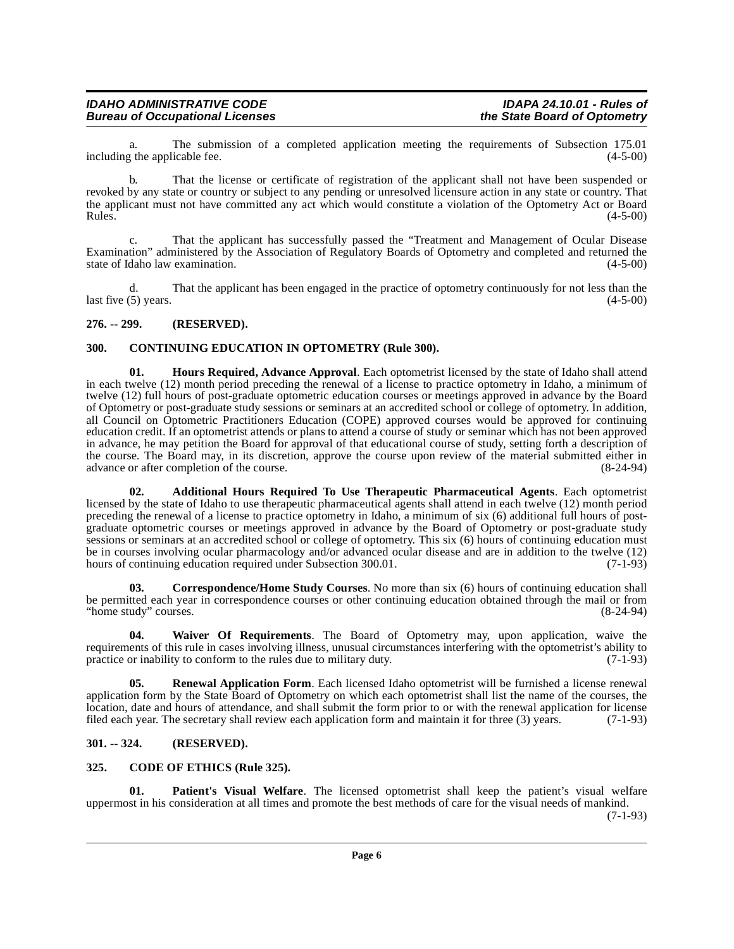a. The submission of a completed application meeting the requirements of Subsection 175.01 r the applicable fee. (4-5-00) including the applicable fee.

b. That the license or certificate of registration of the applicant shall not have been suspended or revoked by any state or country or subject to any pending or unresolved licensure action in any state or country. That the applicant must not have committed any act which would constitute a violation of the Optometry Act or Board<br>Rules. (4-5-00)  $Rules.$  (4-5-00)

c. That the applicant has successfully passed the "Treatment and Management of Ocular Disease Examination" administered by the Association of Regulatory Boards of Optometry and completed and returned the state of Idaho law examination. (4-5-00)

d. That the applicant has been engaged in the practice of optometry continuously for not less than the  $\frac{1}{2}$  last five (5) years. (4-5-00)

#### <span id="page-5-0"></span>**276. -- 299. (RESERVED).**

#### <span id="page-5-6"></span><span id="page-5-1"></span>**300. CONTINUING EDUCATION IN OPTOMETRY (Rule 300).**

<span id="page-5-8"></span>**01. Hours Required, Advance Approval**. Each optometrist licensed by the state of Idaho shall attend in each twelve (12) month period preceding the renewal of a license to practice optometry in Idaho, a minimum of twelve (12) full hours of post-graduate optometric education courses or meetings approved in advance by the Board of Optometry or post-graduate study sessions or seminars at an accredited school or college of optometry. In addition, all Council on Optometric Practitioners Education (COPE) approved courses would be approved for continuing education credit. If an optometrist attends or plans to attend a course of study or seminar which has not been approved in advance, he may petition the Board for approval of that educational course of study, setting forth a description of the course. The Board may, in its discretion, approve the course upon review of the material submitted either in advance or after completion of the course. advance or after completion of the course.

<span id="page-5-4"></span>**02. Additional Hours Required To Use Therapeutic Pharmaceutical Agents**. Each optometrist licensed by the state of Idaho to use therapeutic pharmaceutical agents shall attend in each twelve (12) month period preceding the renewal of a license to practice optometry in Idaho, a minimum of six (6) additional full hours of postgraduate optometric courses or meetings approved in advance by the Board of Optometry or post-graduate study sessions or seminars at an accredited school or college of optometry. This six (6) hours of continuing education must be in courses involving ocular pharmacology and/or advanced ocular disease and are in addition to the twelve (12) hours of continuing education required under Subsection 300.01. (7-1-93) hours of continuing education required under Subsection 300.01.

<span id="page-5-7"></span>**03. Correspondence/Home Study Courses**. No more than six (6) hours of continuing education shall be permitted each year in correspondence courses or other continuing education obtained through the mail or from "home study" courses. (8-24-94) "home study" courses.

<span id="page-5-11"></span>**04. Waiver Of Requirements**. The Board of Optometry may, upon application, waive the requirements of this rule in cases involving illness, unusual circumstances interfering with the optometrist's ability to practice or inability to conform to the rules due to military duty. (7-1-93) practice or inability to conform to the rules due to military duty.

<span id="page-5-10"></span>**05. Renewal Application Form**. Each licensed Idaho optometrist will be furnished a license renewal application form by the State Board of Optometry on which each optometrist shall list the name of the courses, the location, date and hours of attendance, and shall submit the form prior to or with the renewal application for license filed each year. The secretary shall review each application form and maintain it for three (3) years. (7-1-93)

## <span id="page-5-2"></span>**301. -- 324. (RESERVED).**

#### <span id="page-5-5"></span><span id="page-5-3"></span>**325. CODE OF ETHICS (Rule 325).**

<span id="page-5-9"></span>**01. Patient's Visual Welfare**. The licensed optometrist shall keep the patient's visual welfare uppermost in his consideration at all times and promote the best methods of care for the visual needs of mankind.

(7-1-93)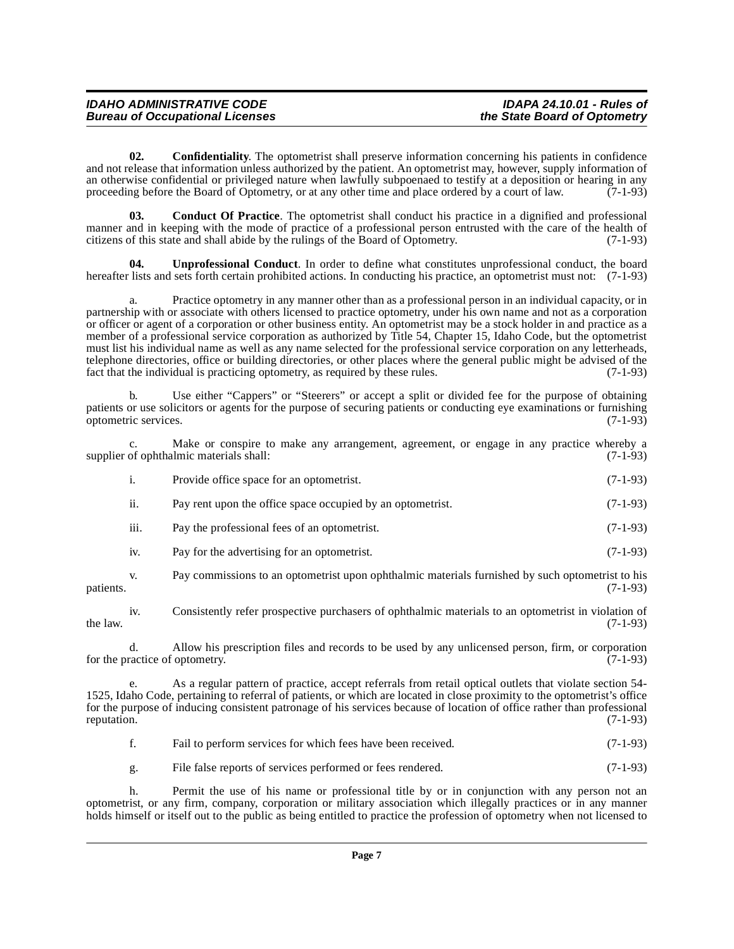| <b>IDAHO ADMINISTRATIVE CODE</b>       | <b>IDAPA 24.10.01 - Rules of</b> |
|----------------------------------------|----------------------------------|
| <b>Bureau of Occupational Licenses</b> | the State Board of Optometry     |

<span id="page-6-1"></span>**02. Confidentiality**. The optometrist shall preserve information concerning his patients in confidence and not release that information unless authorized by the patient. An optometrist may, however, supply information of an otherwise confidential or privileged nature when lawfully subpoenaed to testify at a deposition or hearing in any proceeding before the Board of Optometry, or at any other time and place ordered by a court of law.  $(7-1-93)$ 

<span id="page-6-0"></span>**03. Conduct Of Practice**. The optometrist shall conduct his practice in a dignified and professional manner and in keeping with the mode of practice of a professional person entrusted with the care of the health of citizens of this state and shall abide by the rulings of the Board of Optometry. (7-1-93)

<span id="page-6-2"></span>**04. Unprofessional Conduct**. In order to define what constitutes unprofessional conduct, the board hereafter lists and sets forth certain prohibited actions. In conducting his practice, an optometrist must not: (7-1-93)

a. Practice optometry in any manner other than as a professional person in an individual capacity, or in partnership with or associate with others licensed to practice optometry, under his own name and not as a corporation or officer or agent of a corporation or other business entity. An optometrist may be a stock holder in and practice as a member of a professional service corporation as authorized by Title 54, Chapter 15, Idaho Code, but the optometrist must list his individual name as well as any name selected for the professional service corporation on any letterheads, telephone directories, office or building directories, or other places where the general public might be advised of the fact that the individual is practicing optometry, as required by these rules.  $(7-1-93)$ 

b. Use either "Cappers" or "Steerers" or accept a split or divided fee for the purpose of obtaining patients or use solicitors or agents for the purpose of securing patients or conducting eye examinations or furnishing optometric services. (7-1-93) optometric services.

c. Make or conspire to make any arrangement, agreement, or engage in any practice whereby a of ophthalmic materials shall: (7-1-93) supplier of ophthalmic materials shall:

|      | Provide office space for an optometrist.                   | $(7-1-93)$ |
|------|------------------------------------------------------------|------------|
| ii.  | Pay rent upon the office space occupied by an optometrist. | $(7-1-93)$ |
| iii. | Pay the professional fees of an optometrist.               | $(7-1-93)$ |
| iv.  | Pay for the advertising for an optometrist.                | $(7-1-93)$ |
|      |                                                            |            |

v. Pay commissions to an optometrist upon ophthalmic materials furnished by such optometrist to his patients. (7-1-93)

iv. Consistently refer prospective purchasers of ophthalmic materials to an optometrist in violation of the law.  $(7-1-93)$ 

d. Allow his prescription files and records to be used by any unlicensed person, firm, or corporation for the practice of optometry.

e. As a regular pattern of practice, accept referrals from retail optical outlets that violate section 54- 1525, Idaho Code, pertaining to referral of patients, or which are located in close proximity to the optometrist's office for the purpose of inducing consistent patronage of his services because of location of office rather than professional reputation. (7-1-93)

f. Fail to perform services for which fees have been received. (7-1-93)

g. File false reports of services performed or fees rendered. (7-1-93)

h. Permit the use of his name or professional title by or in conjunction with any person not an optometrist, or any firm, company, corporation or military association which illegally practices or in any manner holds himself or itself out to the public as being entitled to practice the profession of optometry when not licensed to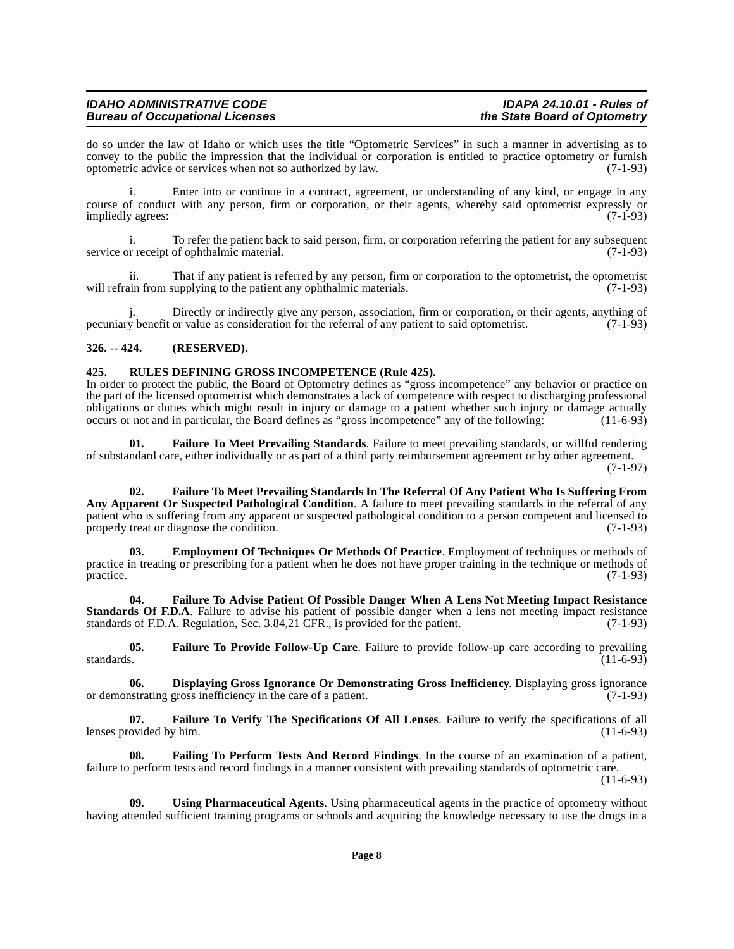# **IDAHO ADMINISTRATIVE CODE IDAPA 24.10.01 - Rules of Bureau of Occupational Licenses**

do so under the law of Idaho or which uses the title "Optometric Services" in such a manner in advertising as to convey to the public the impression that the individual or corporation is entitled to practice optometry or furnish optometric advice or services when not so authorized by law. (7-1-93)

i. Enter into or continue in a contract, agreement, or understanding of any kind, or engage in any course of conduct with any person, firm or corporation, or their agents, whereby said optometrist expressly or<br>(7-1-93) (7-1-93) impliedly agrees:

i. To refer the patient back to said person, firm, or corporation referring the patient for any subsequent service or receipt of ophthalmic material. (7-1-93)

ii. That if any patient is referred by any person, firm or corporation to the optometrist, the optometrist unifrom supplying to the patient any ophthalmic materials. will refrain from supplying to the patient any ophthalmic materials.

j. Directly or indirectly give any person, association, firm or corporation, or their agents, anything of y benefit or value as consideration for the referral of any patient to said optometrist. (7-1-93) pecuniary benefit or value as consideration for the referral of any patient to said optometrist.

## <span id="page-7-0"></span>**326. -- 424. (RESERVED).**

#### <span id="page-7-10"></span><span id="page-7-1"></span>**425. RULES DEFINING GROSS INCOMPETENCE (Rule 425).**

In order to protect the public, the Board of Optometry defines as "gross incompetence" any behavior or practice on the part of the licensed optometrist which demonstrates a lack of competence with respect to discharging professional obligations or duties which might result in injury or damage to a patient whether such injury or damage actually occurs or not and in particular, the Board defines as "gross incompetence" any of the following: (11-6-93)

<span id="page-7-7"></span>**01. Failure To Meet Prevailing Standards**. Failure to meet prevailing standards, or willful rendering of substandard care, either individually or as part of a third party reimbursement agreement or by other agreement.  $(7-1-97)$ 

<span id="page-7-6"></span>**02. Failure To Meet Prevailing Standards In The Referral Of Any Patient Who Is Suffering From Any Apparent Or Suspected Pathological Condition**. A failure to meet prevailing standards in the referral of any patient who is suffering from any apparent or suspected pathological condition to a person competent and licensed to properly treat or diagnose the condition. (7-1-93)

<span id="page-7-3"></span>**03. Employment Of Techniques Or Methods Of Practice**. Employment of techniques or methods of practice in treating or prescribing for a patient when he does not have proper training in the technique or methods of  $practive.$  (7-1-93)

<span id="page-7-5"></span>**04. Failure To Advise Patient Of Possible Danger When A Lens Not Meeting Impact Resistance Standards Of F.D.A**. Failure to advise his patient of possible danger when a lens not meeting impact resistance standards of F.D.A. Regulation, Sec. 3.84,21 CFR., is provided for the patient. (7-1-93)

<span id="page-7-8"></span>**05.** Failure To Provide Follow-Up Care. Failure to provide follow-up care according to prevailing standards. (11-6-93) standards.  $(11-6-93)$ 

<span id="page-7-2"></span>**06. Displaying Gross Ignorance Or Demonstrating Gross Inefficiency**. Displaying gross ignorance or demonstrating gross inefficiency in the care of a patient. (7-1-93)

<span id="page-7-9"></span>**07. Failure To Verify The Specifications Of All Lenses**. Failure to verify the specifications of all lenses provided by him.

<span id="page-7-4"></span>**08. Failing To Perform Tests And Record Findings**. In the course of an examination of a patient, failure to perform tests and record findings in a manner consistent with prevailing standards of optometric care.

(11-6-93)

<span id="page-7-11"></span>**09. Using Pharmaceutical Agents**. Using pharmaceutical agents in the practice of optometry without having attended sufficient training programs or schools and acquiring the knowledge necessary to use the drugs in a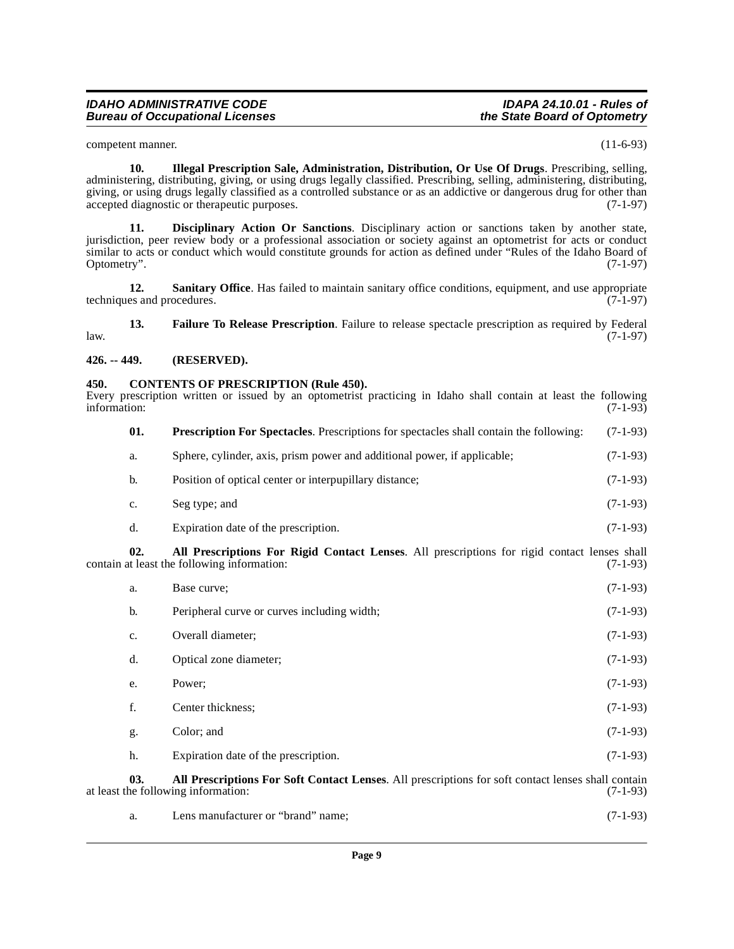competent manner. (11-6-93)

<span id="page-8-7"></span>**10. Illegal Prescription Sale, Administration, Distribution, Or Use Of Drugs**. Prescribing, selling, administering, distributing, giving, or using drugs legally classified. Prescribing, selling, administering, distributing, giving, or using drugs legally classified as a controlled substance or as an addictive or dangerous drug for other than accepted diagnostic or therapeutic purposes. (7-1-97)

<span id="page-8-5"></span>**11. Disciplinary Action Or Sanctions**. Disciplinary action or sanctions taken by another state, jurisdiction, peer review body or a professional association or society against an optometrist for acts or conduct similar to acts or conduct which would constitute grounds for action as defined under "Rules of the Idaho Board of Optometry". (7-1-97)

<span id="page-8-9"></span>**12.** Sanitary Office. Has failed to maintain sanitary office conditions, equipment, and use appropriate techniques and procedures.  $(7-1-97)$ 

<span id="page-8-6"></span>**13. Failure To Release Prescription**. Failure to release spectacle prescription as required by Federal (7-1-97) law. (7-1-97)

#### <span id="page-8-0"></span>**426. -- 449. (RESERVED).**

#### <span id="page-8-4"></span><span id="page-8-1"></span>**450. CONTENTS OF PRESCRIPTION (Rule 450).**

Every prescription written or issued by an optometrist practicing in Idaho shall contain at least the following information: (7-1-93)

<span id="page-8-8"></span>

| 01. | <b>Prescription For Spectacles.</b> Prescriptions for spectacles shall contain the following: | $(7-1-93)$ |
|-----|-----------------------------------------------------------------------------------------------|------------|
| a.  | Sphere, cylinder, axis, prism power and additional power, if applicable;                      | $(7-1-93)$ |
| b.  | Position of optical center or interpupillary distance;                                        | $(7-1-93)$ |
| c.  | Seg type; and                                                                                 | $(7-1-93)$ |

<span id="page-8-2"></span>d. Expiration date of the prescription. (7-1-93)

**02. All Prescriptions For Rigid Contact Lenses**. All prescriptions for rigid contact lenses shall contain at least the following information:

| a. | Base curve:                                 | $(7-1-93)$ |
|----|---------------------------------------------|------------|
| b. | Peripheral curve or curves including width; | $(7-1-93)$ |
| c. | Overall diameter;                           | $(7-1-93)$ |
| d. | Optical zone diameter;                      | $(7-1-93)$ |
| e. | Power:                                      | $(7-1-93)$ |
| f. | Center thickness;                           | $(7-1-93)$ |
| g. | Color; and                                  | $(7-1-93)$ |
| h. | Expiration date of the prescription.        | $(7-1-93)$ |

**03.** All Prescriptions For Soft Contact Lenses. All prescriptions for soft contact lenses shall contain the following information: (7-1-93) at least the following information:

<span id="page-8-3"></span>

| a. | Lens manufacturer or "brand" name: | $(7-1-93)$ |
|----|------------------------------------|------------|
|----|------------------------------------|------------|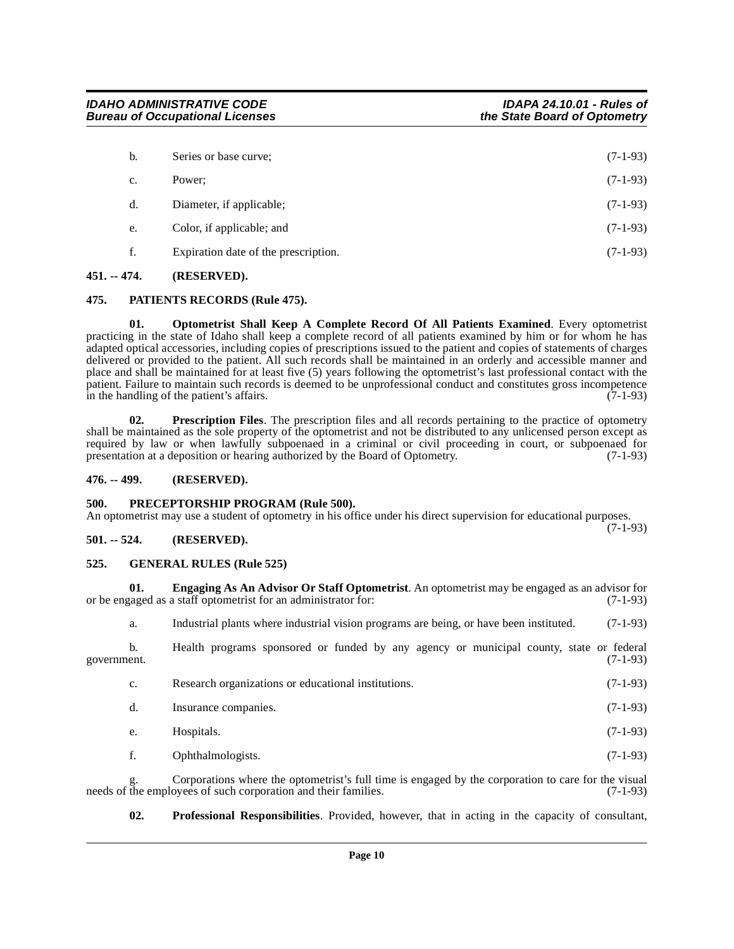| b. | Series or base curve;                | $(7-1-93)$ |
|----|--------------------------------------|------------|
| c. | Power:                               | $(7-1-93)$ |
| d. | Diameter, if applicable;             | $(7-1-93)$ |
| e. | Color, if applicable; and            | $(7-1-93)$ |
| f. | Expiration date of the prescription. | $(7-1-93)$ |
|    |                                      |            |

## <span id="page-9-0"></span>**451. -- 474. (RESERVED).**

#### <span id="page-9-9"></span><span id="page-9-1"></span>**475. PATIENTS RECORDS (Rule 475).**

<span id="page-9-8"></span>**01. Optometrist Shall Keep A Complete Record Of All Patients Examined**. Every optometrist practicing in the state of Idaho shall keep a complete record of all patients examined by him or for whom he has adapted optical accessories, including copies of prescriptions issued to the patient and copies of statements of charges delivered or provided to the patient. All such records shall be maintained in an orderly and accessible manner and place and shall be maintained for at least five (5) years following the optometrist's last professional contact with the patient. Failure to maintain such records is deemed to be unprofessional conduct and constitutes gross incompetence<br>in the handling of the patient's affairs. (7-1-93) in the handling of the patient's affairs.

<span id="page-9-11"></span>**02. Prescription Files**. The prescription files and all records pertaining to the practice of optometry shall be maintained as the sole property of the optometrist and not be distributed to any unlicensed person except as required by law or when lawfully subpoenaed in a criminal or civil proceeding in court, or subpoenaed for presentation at a deposition or hearing authorized by the Board of Optometry. (7-1-93) presentation at a deposition or hearing authorized by the Board of Optometry.

#### <span id="page-9-2"></span>**476. -- 499. (RESERVED).**

#### <span id="page-9-10"></span><span id="page-9-3"></span>**500. PRECEPTORSHIP PROGRAM (Rule 500).**

An optometrist may use a student of optometry in his office under his direct supervision for educational purposes. (7-1-93)

## <span id="page-9-4"></span>**501. -- 524. (RESERVED).**

#### <span id="page-9-7"></span><span id="page-9-5"></span>**525. GENERAL RULES (Rule 525)**

**01. Engaging As An Advisor Or Staff Optometrist**. An optometrist may be engaged as an advisor for or be engaged as a staff optometrist for an administrator for: (7-1-93)

<span id="page-9-6"></span>a. Industrial plants where industrial vision programs are being, or have been instituted. (7-1-93)

b. Health programs sponsored or funded by any agency or municipal county, state or federal (7-1-93) government. (7-1-93)

| $c_{\cdot}$ | Research organizations or educational institutions. | $(7-1-93)$ |
|-------------|-----------------------------------------------------|------------|
| d.          | Insurance companies.                                | $(7-1-93)$ |
| e.          | Hospitals.                                          | $(7-1-93)$ |
|             |                                                     |            |

f. Ophthalmologists. (7-1-93)

Corporations where the optometrist's full time is engaged by the corporation to care for the visual oyees of such corporation and their families. (7-1-93) needs of the employees of such corporation and their families.

<span id="page-9-12"></span>**02. Professional Responsibilities**. Provided, however, that in acting in the capacity of consultant,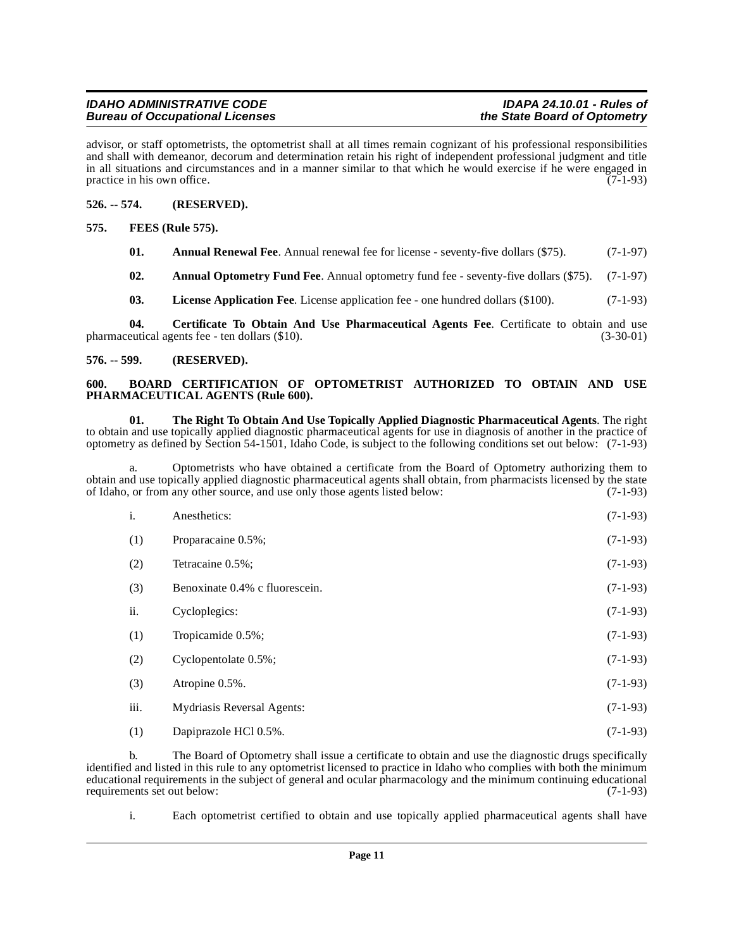advisor, or staff optometrists, the optometrist shall at all times remain cognizant of his professional responsibilities and shall with demeanor, decorum and determination retain his right of independent professional judgment and title in all situations and circumstances and in a manner similar to that which he would exercise if he were engaged in practice in his own office.  $(7-1-93)$ 

#### <span id="page-10-0"></span>**526. -- 574. (RESERVED).**

<span id="page-10-1"></span>**575. FEES (Rule 575).**

- <span id="page-10-8"></span><span id="page-10-5"></span>**01.** Annual Renewal Fee. Annual renewal fee for license - seventy-five dollars (\$75). (7-1-97)
- <span id="page-10-4"></span>**02. Annual Optometry Fund Fee**. Annual optometry fund fee - seventy-five dollars (\$75). (7-1-97)
- <span id="page-10-9"></span><span id="page-10-7"></span>**03. License Application Fee**. License application fee - one hundred dollars (\$100). (7-1-93)

**04.** Certificate To Obtain And Use Pharmaceutical Agents Fee. Certificate to obtain and use eutical agents fee - ten dollars (\$10). pharmaceutical agents fee - ten dollars  $(\$10)$ .

#### <span id="page-10-2"></span>**576. -- 599. (RESERVED).**

#### <span id="page-10-6"></span><span id="page-10-3"></span>**600. BOARD CERTIFICATION OF OPTOMETRIST AUTHORIZED TO OBTAIN AND USE PHARMACEUTICAL AGENTS (Rule 600).**

<span id="page-10-10"></span>**01. The Right To Obtain And Use Topically Applied Diagnostic Pharmaceutical Agents**. The right to obtain and use topically applied diagnostic pharmaceutical agents for use in diagnosis of another in the practice of optometry as defined by Section 54-1501, Idaho Code, is subject to the following conditions set out below: (7-1-93)

a. Optometrists who have obtained a certificate from the Board of Optometry authorizing them to obtain and use topically applied diagnostic pharmaceutical agents shall obtain, from pharmacists licensed by the state<br>of Idaho, or from any other source, and use only those agents listed below: of Idaho, or from any other source, and use only those agents listed below:

| i.   | Anesthetics:                   | $(7-1-93)$ |
|------|--------------------------------|------------|
| (1)  | Proparacaine 0.5%;             | $(7-1-93)$ |
| (2)  | Tetracaine 0.5%;               | $(7-1-93)$ |
| (3)  | Benoxinate 0.4% c fluorescein. | $(7-1-93)$ |
| ii.  | Cycloplegics:                  | $(7-1-93)$ |
| (1)  | Tropicamide 0.5%;              | $(7-1-93)$ |
| (2)  | Cyclopentolate 0.5%;           | $(7-1-93)$ |
| (3)  | Atropine 0.5%.                 | $(7-1-93)$ |
| iii. | Mydriasis Reversal Agents:     | $(7-1-93)$ |
| (1)  | Dapiprazole HCl 0.5%.          | $(7-1-93)$ |

b. The Board of Optometry shall issue a certificate to obtain and use the diagnostic drugs specifically identified and listed in this rule to any optometrist licensed to practice in Idaho who complies with both the minimum educational requirements in the subject of general and ocular pharmacology and the minimum continuing educational<br>requirements set out below: (7-1-93) requirements set out below:

i. Each optometrist certified to obtain and use topically applied pharmaceutical agents shall have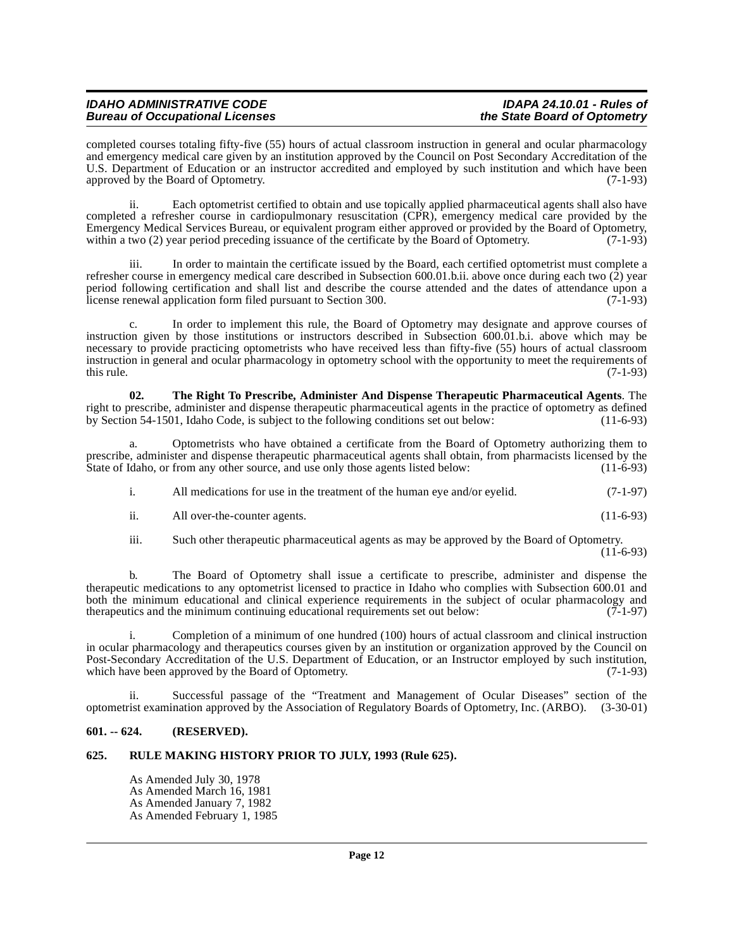completed courses totaling fifty-five (55) hours of actual classroom instruction in general and ocular pharmacology and emergency medical care given by an institution approved by the Council on Post Secondary Accreditation of the U.S. Department of Education or an instructor accredited and employed by such institution and which have been approved by the Board of Optometry. (7-1-93)

ii. Each optometrist certified to obtain and use topically applied pharmaceutical agents shall also have completed a refresher course in cardiopulmonary resuscitation (CPR), emergency medical care provided by the Emergency Medical Services Bureau, or equivalent program either approved or provided by the Board of Optometry, within a two (2) year period preceding issuance of the certificate by the Board of Optometry. (7-1-93)

iii. In order to maintain the certificate issued by the Board, each certified optometrist must complete a refresher course in emergency medical care described in Subsection 600.01.b.ii. above once during each two (2) year period following certification and shall list and describe the course attended and the dates of attendance upon a license renewal application form filed pursuant to Section 300. (7-1-93)

c. In order to implement this rule, the Board of Optometry may designate and approve courses of instruction given by those institutions or instructors described in Subsection 600.01.b.i. above which may be necessary to provide practicing optometrists who have received less than fifty-five (55) hours of actual classroom instruction in general and ocular pharmacology in optometry school with the opportunity to meet the requirements of this rule.  $(7-1-93)$ 

<span id="page-11-2"></span>**02. The Right To Prescribe, Administer And Dispense Therapeutic Pharmaceutical Agents**. The right to prescribe, administer and dispense therapeutic pharmaceutical agents in the practice of optometry as defined by Section 54-1501, Idaho Code, is subject to the following conditions set out below: (11-6-93)

a. Optometrists who have obtained a certificate from the Board of Optometry authorizing them to prescribe, administer and dispense therapeutic pharmaceutical agents shall obtain, from pharmacists licensed by the State of Idaho, or from any other source, and use only those agents listed below: (11-6-93) State of Idaho, or from any other source, and use only those agents listed below:

i. All medications for use in the treatment of the human eye and/or eyelid. (7-1-97)

- ii. All over-the-counter agents. (11-6-93)
- iii. Such other therapeutic pharmaceutical agents as may be approved by the Board of Optometry.

 $(11-6-93)$ 

b. The Board of Optometry shall issue a certificate to prescribe, administer and dispense the therapeutic medications to any optometrist licensed to practice in Idaho who complies with Subsection 600.01 and both the minimum educational and clinical experience requirements in the subject of ocular pharmacology and therapeutics and the minimum continuing educational requirements set out below: (7-1-97) therapeutics and the minimum continuing educational requirements set out below:

i. Completion of a minimum of one hundred (100) hours of actual classroom and clinical instruction in ocular pharmacology and therapeutics courses given by an institution or organization approved by the Council on Post-Secondary Accreditation of the U.S. Department of Education, or an Instructor employed by such institution, which have been approved by the Board of Optometry. (7-1-93) which have been approved by the Board of Optometry.

ii. Successful passage of the "Treatment and Management of Ocular Diseases" section of the optometrist examination approved by the Association of Regulatory Boards of Optometry, Inc. (ARBO). (3-30-01)

## <span id="page-11-0"></span>**601. -- 624. (RESERVED).**

#### <span id="page-11-1"></span>**625. RULE MAKING HISTORY PRIOR TO JULY, 1993 (Rule 625).**

As Amended July 30, 1978 As Amended March 16, 1981 As Amended January 7, 1982 As Amended February 1, 1985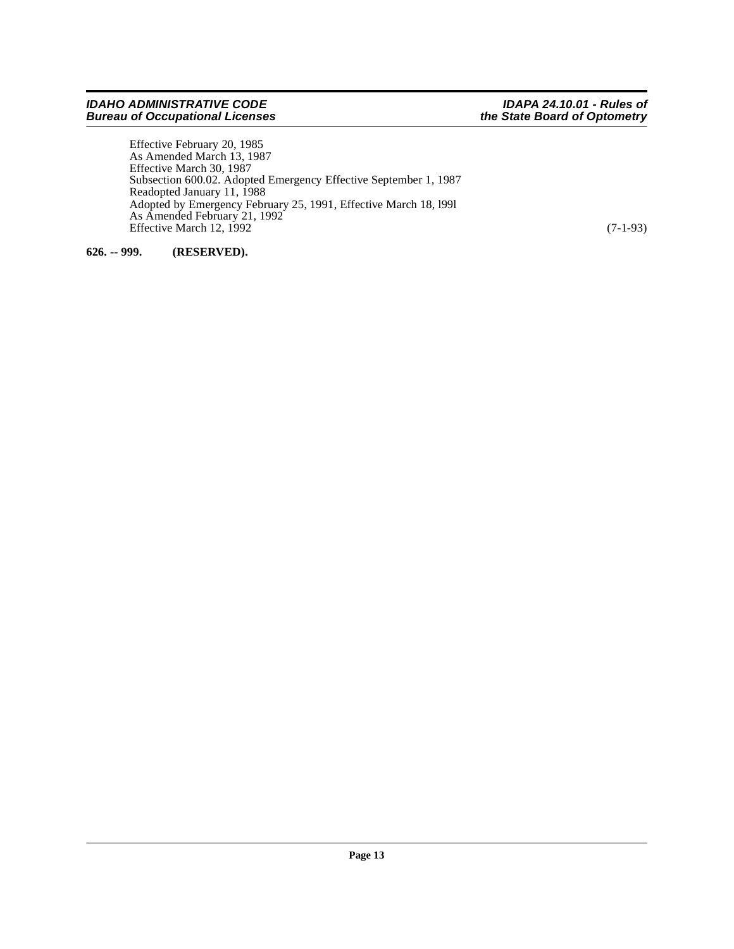Effective February 20, 1985 As Amended March 13, 1987 Effective March 30, 1987 Subsection 600.02. Adopted Emergency Effective September 1, 1987 Readopted January 11, 1988 Adopted by Emergency February 25, 1991, Effective March 18, l99l As Amended February 21, 1992 Effective March 12, 1992 (7-1-93)

<span id="page-12-0"></span>**626. -- 999. (RESERVED).**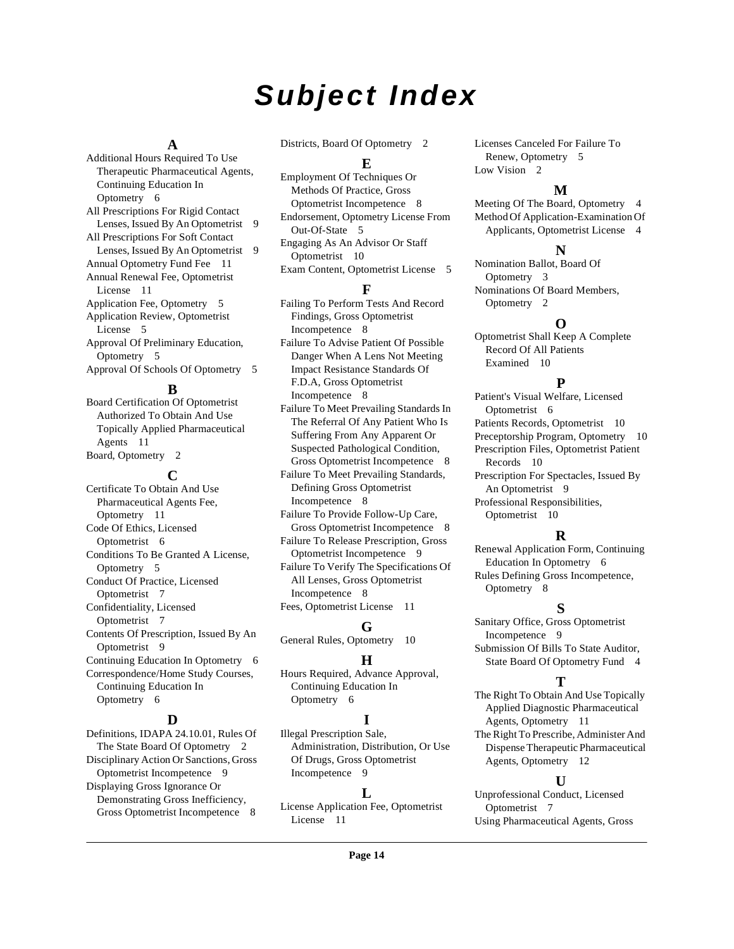# **Subject Index**

#### **A**

Additional Hours Required To Use Therapeutic Pharmaceutical Agents, Continuing Education In Optometry [6](#page-5-4) All Prescriptions For Rigid Contact Lenses, Issued By An Optometrist [9](#page-8-2) All Prescriptions For Soft Contact Lenses, Issued By An Optometrist [9](#page-8-3) Annual Optometry Fund Fee [11](#page-10-4) Annual Renewal Fee, Optometrist License [11](#page-10-5) Application Fee, Optometry [5](#page-4-8) Application Review, Optometrist License [5](#page-4-9) Approval Of Preliminary Education, Optometry [5](#page-4-10) Approval Of Schools Of Optometry [5](#page-4-11)

#### **B**

Board Certification Of Optometrist Authorized To Obtain And Use Topically Applied Pharmaceutical Agents [11](#page-10-6) Board, Optometry [2](#page-1-9)

**C** Certificate To Obtain And Use Pharmaceutical Agents Fee, Optometry [11](#page-10-7) Code Of Ethics, Licensed Optometrist [6](#page-5-5) Conditions To Be Granted A License, Optometry [5](#page-4-12) Conduct Of Practice, Licensed Optometrist [7](#page-6-0) Confidentiality, Licensed Optometrist [7](#page-6-1) Contents Of Prescription, Issued By An Optometrist [9](#page-8-4) Continuing Education In Optometry [6](#page-5-6) Correspondence/Home Study Courses, Continuing Education In Optometry [6](#page-5-7)

#### **D**

Definitions, IDAPA 24.10.01, Rules Of The State Board Of Optometry [2](#page-1-10) Disciplinary Action Or Sanctions, Gross Optometrist Incompetence [9](#page-8-5) Displaying Gross Ignorance Or Demonstrating Gross Inefficiency, Gross Optometrist Incompetence [8](#page-7-2)

Districts, Board Of Optometry [2](#page-1-11)

#### **E**

Employment Of Techniques Or Methods Of Practice, Gross Optometrist Incompetence [8](#page-7-3) Endorsement, Optometry License From Out-Of-State [5](#page-4-13) Engaging As An Advisor Or Staff Optometrist [10](#page-9-6) Exam Content, Optometrist License [5](#page-4-14)

#### **F**

Failing To Perform Tests And Record Findings, Gross Optometrist Incompetence [8](#page-7-4) Failure To Advise Patient Of Possible Danger When A Lens Not Meeting Impact Resistance Standards Of F.D.A, Gross Optometrist Incompetence [8](#page-7-5) Failure To Meet Prevailing Standards In

The Referral Of Any Patient Who Is Suffering From Any Apparent Or Suspected Pathological Condition, Gross Optometrist Incompetence [8](#page-7-6)

Failure To Meet Prevailing Standards, Defining Gross Optometrist Incompetence [8](#page-7-7)

Failure To Provide Follow-Up Care, Gross Optometrist Incompetence [8](#page-7-8) Failure To Release Prescription, Gross

Optometrist Incompetence [9](#page-8-6) Failure To Verify The Specifications Of All Lenses, Gross Optometrist

Incompetence [8](#page-7-9) Fees, Optometrist License [11](#page-10-8)

#### **G**

General Rules, Optometry [10](#page-9-7)

## **H**

Hours Required, Advance Approval, Continuing Education In Optometry [6](#page-5-8)

# **I**

Illegal Prescription Sale, Administration, Distribution, Or Use Of Drugs, Gross Optometrist Incompetence [9](#page-8-7)

## **L**

License Application Fee, Optometrist License [11](#page-10-9)

Licenses Canceled For Failure To Renew, Optometry [5](#page-4-15) Low Vision [2](#page-1-12)

## **M**

Meeting Of The Board, Optometry [4](#page-3-6) Method Of Application-Examination Of Applicants, Optometrist License [4](#page-3-7)

#### **N**

Nomination Ballot, Board Of Optometry [3](#page-2-0) Nominations Of Board Members, Optometry [2](#page-1-13)

# **O**

Optometrist Shall Keep A Complete Record Of All Patients Examined [10](#page-9-8)

## **P**

Patient's Visual Welfare, Licensed Optometrist [6](#page-5-9) Patients Records, Optometrist [10](#page-9-9) Preceptorship Program, Optometry [10](#page-9-10) Prescription Files, Optometrist Patient Records [10](#page-9-11) Prescription For Spectacles, Issued By An Optometrist [9](#page-8-8) Professional Responsibilities, Optometrist [10](#page-9-12)

# **R**

Renewal Application Form, Continuing Education In Optometry [6](#page-5-10) Rules Defining Gross Incompetence, Optometry [8](#page-7-10)

## **S**

Sanitary Office, Gross Optometrist Incompetence [9](#page-8-9) Submission Of Bills To State Auditor, State Board Of Optometry Fund [4](#page-3-8)

## **T**

The Right To Obtain And Use Topically Applied Diagnostic Pharmaceutical Agents, Optometry [11](#page-10-10) The Right To Prescribe, Administer And Dispense Therapeutic Pharmaceutical Agents, Optometry [12](#page-11-2)

## **U**

Unprofessional Conduct, Licensed Optometrist [7](#page-6-2) Using Pharmaceutical Agents, Gross